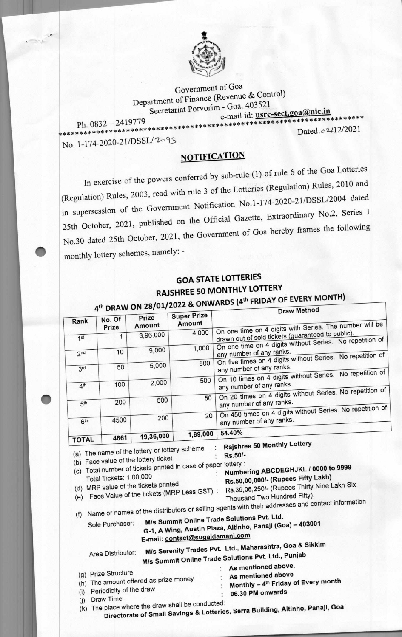

Government of Goa Department of Finance (Revenue & Control) Secretariat Porvorim - Goa. 403521

e-mail id: usrc-sect.goa@nic.in \*\*\*\*\*\*\*

Ph. 0832 - 2419779

No. 1-174-2020-21/DSSL/2093

Dated: 62/12/2021

**NOTIFICATION** 

In exercise of the powers conferred by sub-rule (1) of rule 6 of the Goa Lotteries (Regulation) Rules, 2003, read with rule 3 of the Lotteries (Regulation) Rules, 2010 and in supersession of the Government Notification No.1-174-2020-21/DSSL/2004 dated 25th October, 2021, published on the Official Gazette, Extraordinary No.2, Series I No.30 dated 25th October, 2021, the Government of Goa hereby frames the following monthly lottery schemes, namely: -

## **GOA STATE LOTTERIES RAJSHREE 50 MONTHLY LOTTERY** /01/2022 & ONWARDS (4th FRIDAY OF EVERY MONTH)

| Rank            | No. Of<br>Prize                                                                          | Prize<br>Amount                                                                                                               | <b>Super Prize</b><br>Amount                                   | <b>Draw Method</b><br>On one time on 4 digits with Series. The number will be                                                                                                                                                       |
|-----------------|------------------------------------------------------------------------------------------|-------------------------------------------------------------------------------------------------------------------------------|----------------------------------------------------------------|-------------------------------------------------------------------------------------------------------------------------------------------------------------------------------------------------------------------------------------|
| 1 <sup>st</sup> | 1                                                                                        | 3,96,000                                                                                                                      | 4,000                                                          | drawn out of sold tickets (guaranteed to public).<br>On one time on 4 digits without Series. No repetition of                                                                                                                       |
| 2 <sub>nd</sub> | 10                                                                                       | 9,000                                                                                                                         | 1,000                                                          | any number of any ranks.<br>On five times on 4 digits without Series. No repetition of                                                                                                                                              |
| 3rd             | 50                                                                                       | 5,000                                                                                                                         | 500                                                            | any number of any ranks.<br>On 10 times on 4 digits without Series. No repetition of                                                                                                                                                |
| 4 <sup>th</sup> | 100                                                                                      | 2,000                                                                                                                         | 500                                                            | any number of any ranks.                                                                                                                                                                                                            |
| 5 <sup>th</sup> | 200                                                                                      | 500                                                                                                                           | 50                                                             | On 20 times on 4 digits without Series. No repetition of<br>any number of any ranks.                                                                                                                                                |
| 6 <sup>th</sup> | 4500                                                                                     | 200                                                                                                                           | 20                                                             | On 450 times on 4 digits without Series. No repetition of<br>any number of any ranks.                                                                                                                                               |
| <b>TOTAL</b>    | 4861                                                                                     | 19,36,000                                                                                                                     | 1,89,000                                                       | 54.40%                                                                                                                                                                                                                              |
|                 | Total Tickets: 1,00,000                                                                  | (a) The name of the lottery or lottery scheme<br>(b) Face value of the lottery ticket<br>(d) MRP value of the tickets printed | (c) Total number of tickets printed in case of paper lottery : | Rajshree 50 Monthly Lottery<br>Rs.50/-<br>Numbering ABCDEGHJKL / 0000 to 9999<br>Rs.50,00,000/- (Rupees Fifty Lakh)                                                                                                                 |
| (f)             |                                                                                          |                                                                                                                               | (e) Face Value of the tickets (MRP Less GST) :                 | Rs.39,06,250/- (Rupees Thirty Nine Lakh Six<br>Thousand Two Hundred Fifty).<br>Name or names of the distributors or selling agents with their addresses and contact information                                                     |
|                 | Sole Purchaser:                                                                          |                                                                                                                               |                                                                | M/s Summit Online Trade Solutions Pvt. Ltd.<br>G-1, A Wing, Austin Plaza, Altinho, Panaji (Goa) - 403001                                                                                                                            |
|                 | Area Distributor:<br>(g) Prize Structure<br>(i) Periodicity of the draw<br>(j) Draw Time | (h) The amount offered as prize money                                                                                         | E-mail: contact@sugaldamani.com                                | M/s Serenity Trades Pvt. Ltd., Maharashtra, Goa & Sikkim<br>M/s Summit Online Trade Solutions Pvt. Ltd., Punjab<br>As mentioned above.<br>As mentioned above<br>Monthly - 4 <sup>th</sup> Friday of Every month<br>06.30 PM onwards |